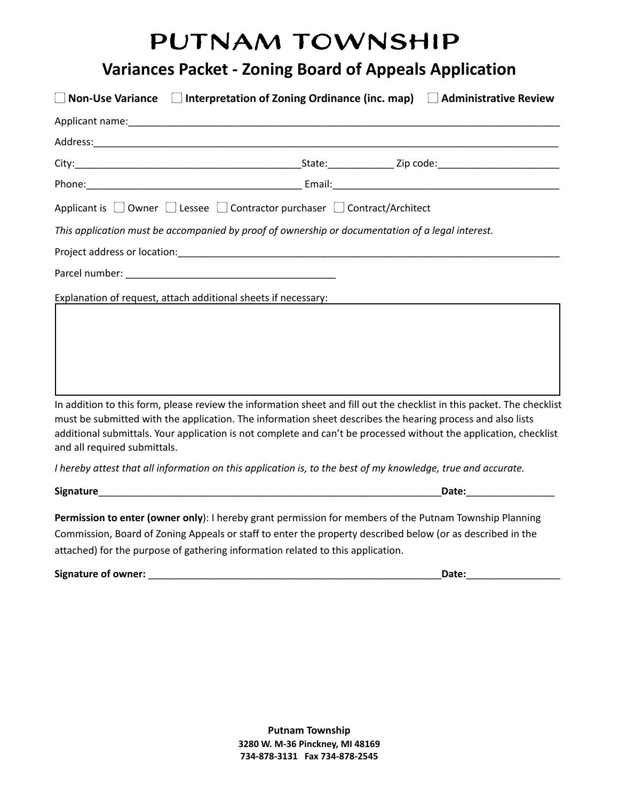# Putnam Township

### **Variances Packet - Zoning Board of Appeals Application**

|                              | $\parallel$ Non-Use Variance $\Box$ Interpretation of Zoning Ordinance (inc. map) $\Box$ Administrative Review                                                                                                                                                                                                                                            |                           |
|------------------------------|-----------------------------------------------------------------------------------------------------------------------------------------------------------------------------------------------------------------------------------------------------------------------------------------------------------------------------------------------------------|---------------------------|
|                              |                                                                                                                                                                                                                                                                                                                                                           |                           |
|                              |                                                                                                                                                                                                                                                                                                                                                           |                           |
|                              |                                                                                                                                                                                                                                                                                                                                                           |                           |
|                              |                                                                                                                                                                                                                                                                                                                                                           |                           |
|                              | Applicant is □ Owner □ Lessee □ Contractor purchaser □ Contract/Architect                                                                                                                                                                                                                                                                                 |                           |
|                              | This application must be accompanied by proof of ownership or documentation of a legal interest.                                                                                                                                                                                                                                                          |                           |
|                              |                                                                                                                                                                                                                                                                                                                                                           |                           |
|                              |                                                                                                                                                                                                                                                                                                                                                           |                           |
|                              |                                                                                                                                                                                                                                                                                                                                                           |                           |
| and all required submittals. | In addition to this form, please review the information sheet and fill out the checklist in this packet. The checklist<br>must be submitted with the application. The information sheet describes the hearing process and also lists<br>additional submittals. Your application is not complete and can't be processed without the application, checklist |                           |
|                              | I hereby attest that all information on this application is, to the best of my knowledge, true and accurate.                                                                                                                                                                                                                                              |                           |
|                              |                                                                                                                                                                                                                                                                                                                                                           | Date: <b>Example 2018</b> |
|                              | Permission to enter (owner only): I hereby grant permission for members of the Putnam Township Planning<br>Commission, Board of Zoning Appeals or staff to enter the property described below (or as described in the<br>attached) for the purpose of gathering information related to this application.                                                  |                           |

 **Signature of owner:** \_\_\_\_\_\_\_\_\_\_\_\_\_\_\_\_\_\_\_\_\_\_\_\_\_\_\_\_\_\_\_\_\_\_\_\_\_\_\_\_\_\_\_\_\_\_\_\_\_\_\_\_\_ **Date:** \_\_\_\_\_\_\_\_\_\_\_\_\_\_\_\_\_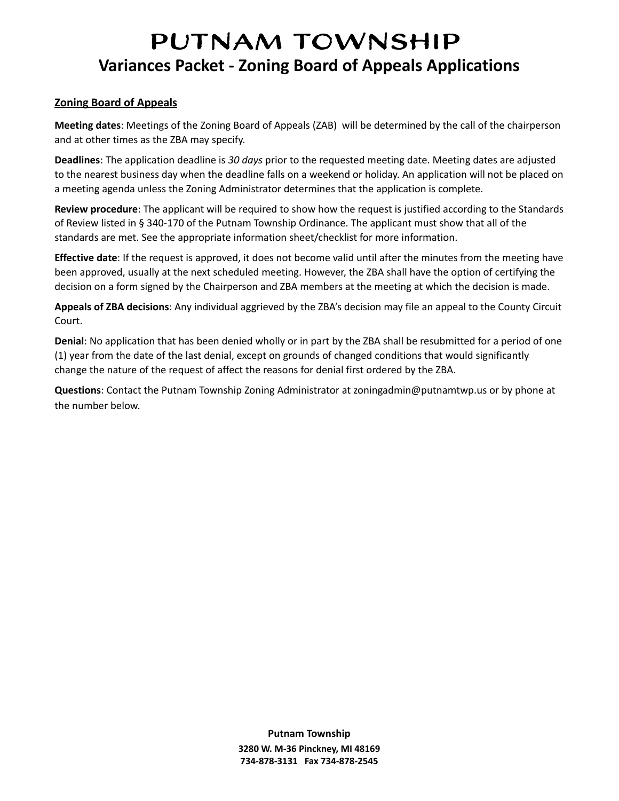## Putnam Township  **Variances Packet - Zoning Board of Appeals Applications**

#### **Zoning Board of Appeals**

**Meeting dates:** Meetings of the Zoning Board of Appeals (ZAB) will be determined by the call of the chairperson and at other times as the ZBA may specify.

**Deadlines**: The application deadline is 30 days prior to the requested meeting date. Meeting dates are adjusted to the nearest business day when the deadline falls on a weekend or holiday. An application will not be placed on a meeting agenda unless the Zoning Administrator determines that the application is complete.

 **Review procedure** : The applicant will be required to show how the request is justified according to the Standards of Review listed in § 340-170 of the Putnam Township Ordinance. The applicant must show that all of the standards are met. See the appropriate information sheet/checklist for more information.

**Effective date**: If the request is approved, it does not become valid until after the minutes from the meeting have been approved, usually at the next scheduled meeting. However, the ZBA shall have the option of certifying the decision on a form signed by the Chairperson and ZBA members at the meeting at which the decision is made.

 **Appeals of ZBA decisions** : Any individual aggrieved by the ZBA's decision may file an appeal to the County Circuit Court.

 **Denial** : No application that has been denied wholly or in part by the ZBA shall be resubmitted for a period of one (1) year from the date of the last denial, except on grounds of changed conditions that would significantly change the nature of the request of affect the reasons for denial first ordered by the ZBA.

 **Questions** : Contact the Putnam Township Zoning Administrator at [zoningadmin@putnamtwp.us](mailto:zoningadmin@putnamtwp.us) or by phone at the number below.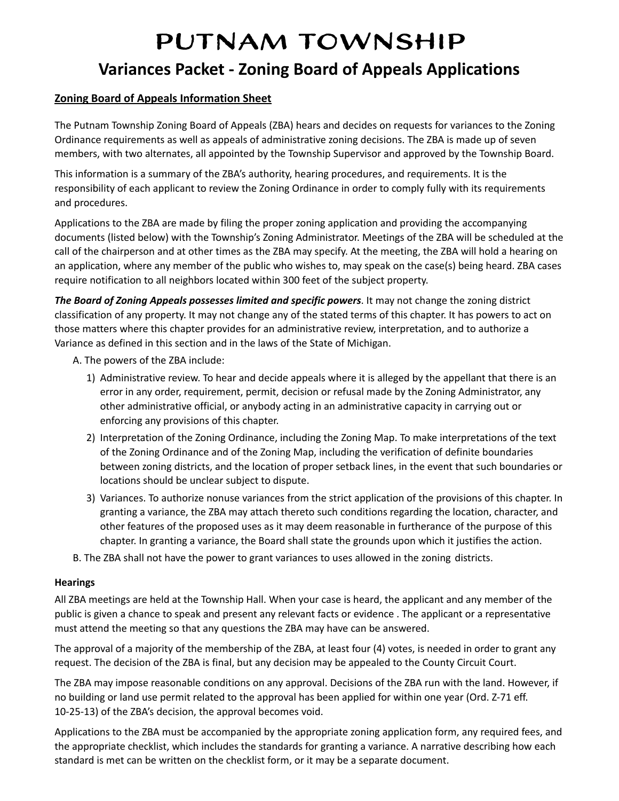## Putnam Township  **Variances Packet - Zoning Board of Appeals Applications**

#### **Zoning Board of Appeals Information Sheet**

 The Putnam Township Zoning Board of Appeals (ZBA) hears and decides on requests for variances to the Zoning Ordinance requirements as well as appeals of administrative zoning decisions. The ZBA is made up of seven members, with two alternates, all appointed by the Township Supervisor and approved by the Township Board.

 This information is a summary of the ZBA's authority, hearing procedures, and requirements. It is the responsibility of each applicant to review the Zoning Ordinance in order to comply fully with its requirements and procedures.

 Applications to the ZBA are made by filing the proper zoning application and providing the accompanying documents (listed below) with the Township's Zoning Administrator. Meetings of the ZBA will be scheduled at the call of the chairperson and at other times as the ZBA may specify. At the meeting, the ZBA will hold a hearing on an application, where any member of the public who wishes to, may speak on the case(s) being heard. ZBA cases require notification to all neighbors located within 300 feet of the subject property.

*The Board of Zoning Appeals possesses limited and specific powers.* **It may not change the zoning district**  classification of any property. It may not change any of the stated terms of this chapter. It has powers to act on those matters where this chapter provides for an administrative review, interpretation, and to authorize a Variance as defined in this section and in the laws of the State of Michigan.

- A. The powers of the ZBA include:
	- 1) Administrative review. To hear and decide appeals where it is alleged by the appellant that there is an error in any order, requirement, permit, decision or refusal made by the Zoning Administrator, any other administrative official, or anybody acting in an administrative capacity in carrying out or enforcing any provisions of this chapter.
	- 2) Interpretation of the Zoning Ordinance, including the Zoning Map. To make interpretations of the text of the Zoning Ordinance and of the Zoning Map, including the verification of definite boundaries between zoning districts, and the location of proper setback lines, in the event that such boundaries or locations should be unclear subject to dispute.
	- 3) Variances. To authorize nonuse variances from the strict application of the provisions of this chapter. In granting a variance, the ZBA may attach thereto such conditions regarding the location, character, and other features of the proposed uses as it may deem reasonable in furtherance of the purpose of this chapter. In granting a variance, the Board shall state the grounds upon which it justifies the action.
- [B.](http://ecode360.com/14779762#14779767) The ZBA shall not have the power to grant variances to uses allowed in the zoning districts.

#### **Hearings**

 All ZBA meetings are held at the Township Hall. When your case is heard, the applicant and any member of the public is given a chance to speak and present any relevant facts or evidence . The applicant or a representative must attend the meeting so that any questions the ZBA may have can be answered.

 The approval of a majority of the membership of the ZBA, at least four (4) votes, is needed in order to grant any request. The decision of the ZBA is final, but any decision may be appealed to the County Circuit Court.

 The ZBA may impose reasonable conditions on any approval. Decisions of the ZBA run with the land. However, if no building or land use permit related to the approval has been applied for within one year (Ord. Z-71 eff. 10-25-13) of the ZBA's decision, the approval becomes void.

 Applications to the ZBA must be accompanied by the appropriate zoning application form, any required fees, and the appropriate checklist, which includes the standards for granting a variance. A narrative describing how each standard is met can be written on the checklist form, or it may be a separate document.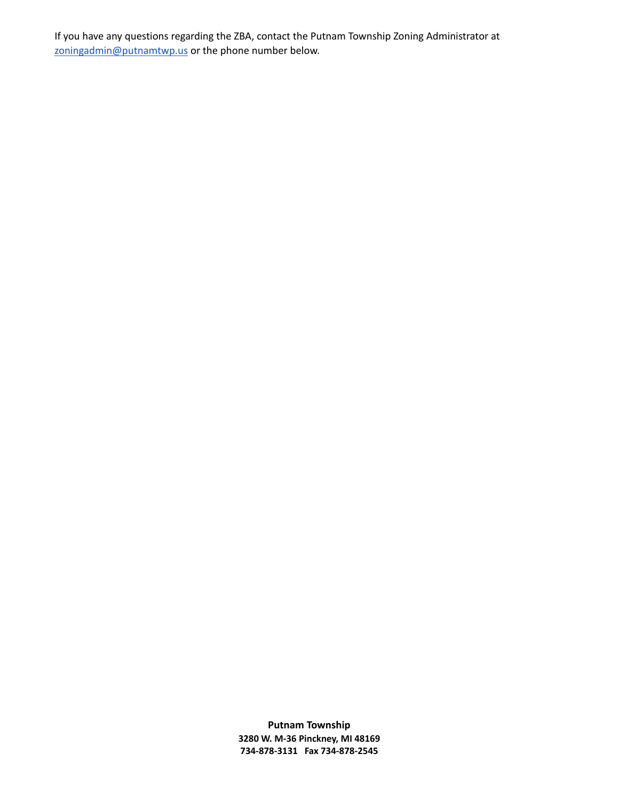If you have any questions regarding the ZBA, contact the Putnam Township Zoning Administrator at zoningadmin@putnamtwp.us or the phone number below.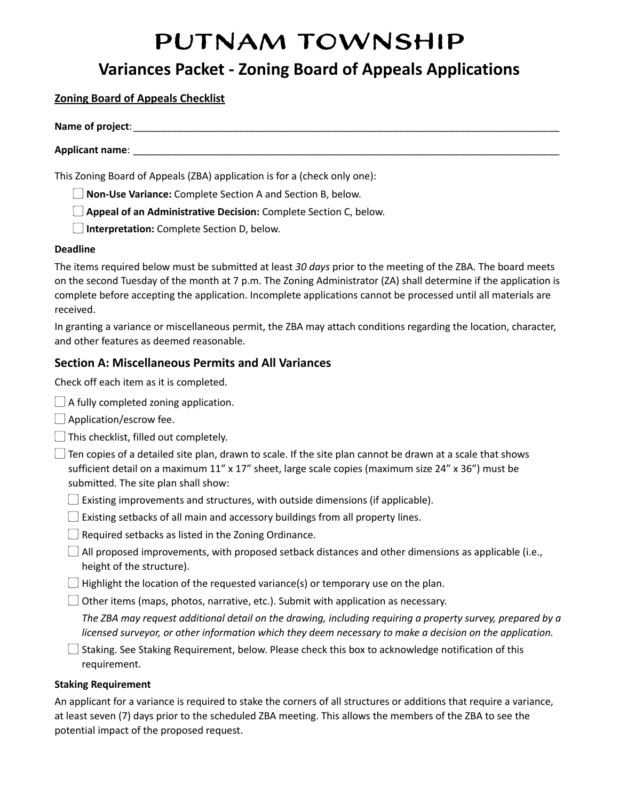# Putnam Township

### **Variances Packet - Zoning Board of Appeals Applications**

 **Zoning Board of Appeals Checklist** 

| Name of project: |  |  |
|------------------|--|--|
| Applicant name:  |  |  |

This Zoning Board of Appeals (ZBA) application is for a (check only one):

▢ **Non-Use Variance:** Complete Section A and Section B, below.

▢ **Appeal of an Administrative Decision:** Complete Section C, below.

▢ **Interpretation:** Complete Section D, below.

#### **Deadline**

 The items required below must be submitted at least *30 days* prior to the meeting of the ZBA. The board meets on the second Tuesday of the month at 7 p.m. The Zoning Administrator (ZA) shall determine if the application is complete before accepting the application. Incomplete applications cannot be processed until all materials are received.

 In granting a variance or miscellaneous permit, the ZBA may attach conditions regarding the location, character, and other features as deemed reasonable.

#### **Section A: Miscellaneous Permits and All Variances**

Check off each item as it is completed.

- $\Box$  A fully completed zoning application.
- □ Application/escrow fee.
- $\Box$  This checklist, filled out completely.

 $\Box$  Ten copies of a detailed site plan, drawn to scale. If the site plan cannot be drawn at a scale that shows sufficient detail on a maximum 11" x 17" sheet, large scale copies (maximum size 24" x 36") must be submitted. The site plan shall show:

- $\Box$  Existing improvements and structures, with outside dimensions (if applicable).
- $\Box$  Existing setbacks of all main and accessory buildings from all property lines.
- $\Box$  Required setbacks as listed in the Zoning Ordinance.
- $\Box$  All proposed improvements, with proposed setback distances and other dimensions as applicable (i.e., height of the structure).
- $\Box$  Highlight the location of the requested variance(s) or temporary use on the plan.

 $\Box$  Other items (maps, photos, narrative, etc.). Submit with application as necessary.

 *The ZBA may request additional detail on the drawing, including requiring a property survey, prepared by a licensed surveyor, or other information which they deem necessary to make a decision on the application.*

□ Staking. See Staking Requirement, below. Please check this box to acknowledge notification of this requirement.

#### **Staking Requirement**

 An applicant for a variance is required to stake the corners of all structures or additions that require a variance, at least seven (7) days prior to the scheduled ZBA meeting. This allows the members of the ZBA to see the potential impact of the proposed request.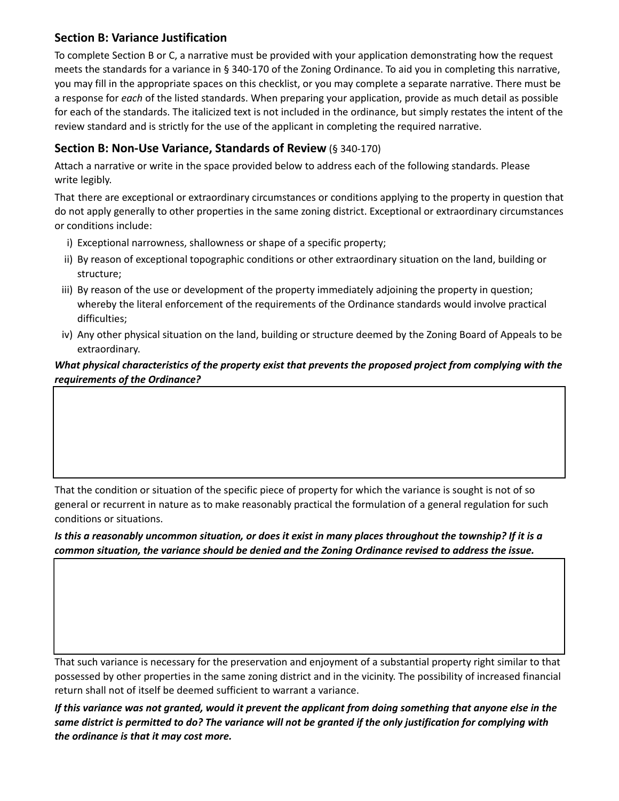#### **Section B: Variance Justification**

 To complete Section B or C, a narrative must be provided with your application demonstrating how the request meets the standards for a variance in § 340-170 of the Zoning Ordinance. To aid you in completing this narrative, you may fill in the appropriate spaces on this checklist, or you may complete a separate narrative. There must be a response for *each* of the listed standards. When preparing your application, provide as much detail as possible for each of the standards. The italicized text is not included in the ordinance, but simply restates the intent of the review standard and is strictly for the use of the applicant in completing the required narrative.

#### **Section B: Non-Use Variance, Standards of Review** (§ 340-170)

 Attach a narrative or write in the space provided below to address each of the following standards. Please write legibly.

 That there are exceptional or extraordinary circumstances or conditions applying to the property in question that do not apply generally to other properties in the same zoning district. Exceptional or extraordinary circumstances or conditions include:

- i) Exceptional narrowness, shallowness or shape of a specific property;
- ii) By reason of exceptional topographic conditions or other extraordinary situation on the land, building or structure;
- iii) By reason of the use or development of the property immediately adjoining the property in question; whereby the literal enforcement of the requirements of the Ordinance standards would involve practical difficulties;
- iv) Any other physical situation on the land, building or structure deemed by the Zoning Board of Appeals to be extraordinary.

#### *What physical characteristics of the property exist that prevents the proposed project from complying with the requirements of the Ordinance?*

 That the condition or situation of the specific piece of property for which the variance is sought is not of so general or recurrent in nature as to make reasonably practical the formulation of a general regulation for such conditions or situations.

 *Is this a reasonably uncommon situation, or does it exist in many places throughout the township? If it is a common situation, the variance should be denied and the Zoning Ordinance revised to address the issue.* 

 That such variance is necessary for the preservation and enjoyment of a substantial property right similar to that possessed by other properties in the same zoning district and in the vicinity. The possibility of increased financial return shall not of itself be deemed sufficient to warrant a variance.

 *If this variance was not granted, would it prevent the applicant from doing something that anyone else in the same district is permitted to do? The variance will not be granted if the only justification for complying with the ordinance is that it may cost more.*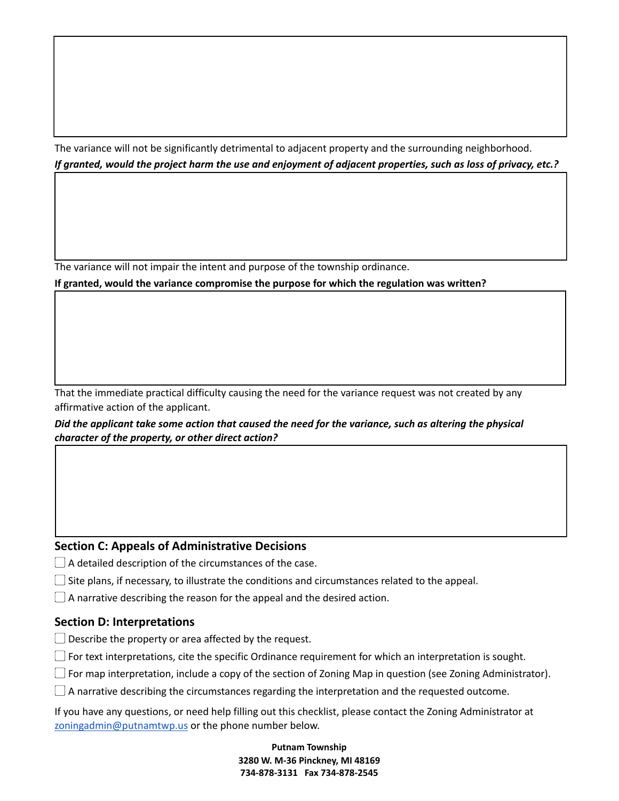The variance will not be significantly detrimental to adjacent property and the surrounding neighborhood.  *If granted, would the project harm the use and enjoyment of adjacent properties, such as loss of privacy, etc.?* 

 $\Box$  , and the contract of the contract of the contract of the contract of the contract of the contract of the contract of the contract of the contract of the contract of the contract of the contract of the contract of th

 $\mathcal{L}_\mathcal{L} = \mathcal{L}_\mathcal{L} = \mathcal{L}_\mathcal{L} = \mathcal{L}_\mathcal{L} = \mathcal{L}_\mathcal{L} = \mathcal{L}_\mathcal{L} = \mathcal{L}_\mathcal{L} = \mathcal{L}_\mathcal{L} = \mathcal{L}_\mathcal{L} = \mathcal{L}_\mathcal{L} = \mathcal{L}_\mathcal{L} = \mathcal{L}_\mathcal{L} = \mathcal{L}_\mathcal{L} = \mathcal{L}_\mathcal{L} = \mathcal{L}_\mathcal{L} = \mathcal{L}_\mathcal{L} = \mathcal{L}_\mathcal{L}$ 

The variance will not impair the intent and purpose of the township ordinance.

 **If granted, would the variance compromise the purpose for which the regulation was written?** 

 That the immediate practical difficulty causing the need for the variance request was not created by any affirmative action of the applicant.

 *Did the applicant take some action that caused the need for the variance, such as altering the physical character of the property, or other direct action?* 

#### **Section C: Appeals of Administrative Decisions**

 $\Box$  A detailed description of the circumstances of the case.

 $\square$  Site plans, if necessary, to illustrate the conditions and circumstances related to the appeal.

 $\Box$  A narrative describing the reason for the appeal and the desired action.

#### **Section D: Interpretations**

- $\Box$  Describe the property or area affected by the request.
- $\Box$  For text interpretations, cite the specific Ordinance requirement for which an interpretation is sought.
- ▢ For map interpretation, include a copy of the section of Zoning Map in question (see Zoning Administrator).
- $\Box$  A narrative describing the circumstances regarding the interpretation and the requested outcome.

 If you have any questions, or need help filling out this checklist, please contact the Zoning Administrator at zoningadmin@putnamtwp.us or the phone number below.